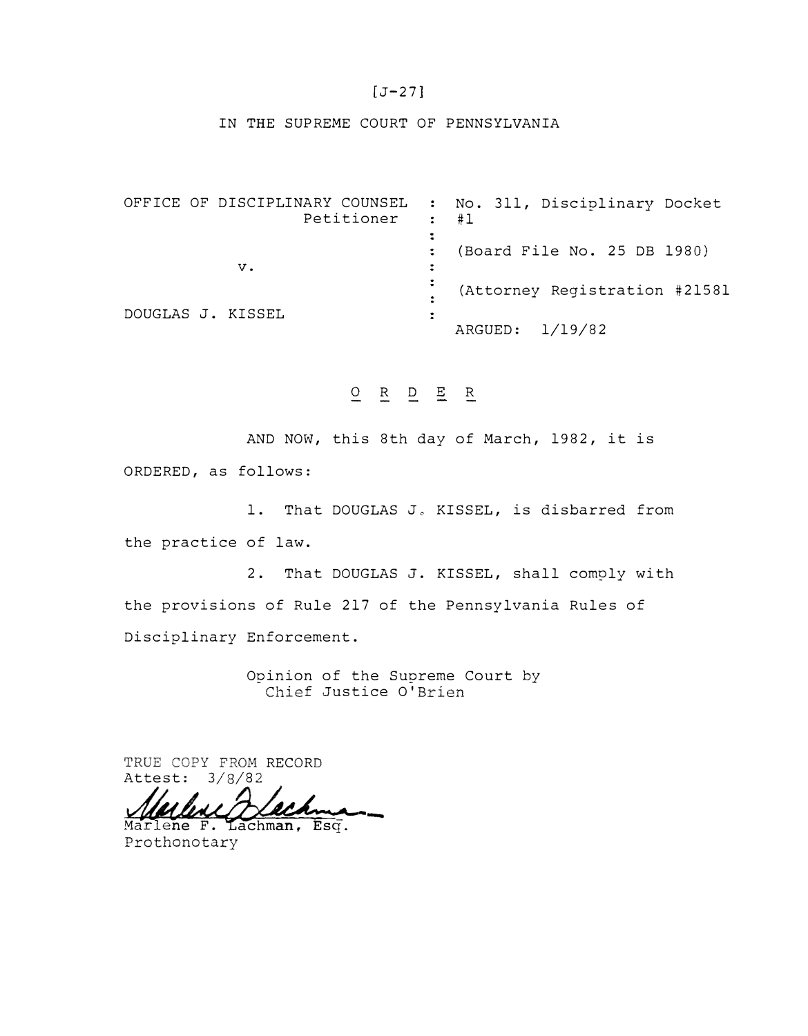### $[J-27]$

#### IN THE SUPREME COURT OF PENNSYLVANIA

OFFICE OF DISCIPLINARY COUNSEL No. 311, Disciplinary Docket Petitioner  $\ddot{\bullet}$ #1  $\ddot{\bullet}$  $\ddot{\bullet}$ (Board File No. 25 DB 1980) v.  $\ddot{\bullet}$  $\ddot{\bullet}$ (Attorney Registration #21581  $\mathbb{C}^2$ DOUGLAS J. KISSEL  $\ddot{\cdot}$ ARGUED: 1/19/82

# **O R D E R**

AND NOW, this 8th day of March, 1982, it is

ORDERED, as follows:

1. That DOUGLAS J. KISSEL, is disbarred from the practice of law.

2. That DOUGLAS **J.** KISSEL, shall comply with the provisions of Rule 217 of the Pennsylvania Rules of Disciplinary Enforcement.

> Opinion of the Supreme Court by Chief Justice O'Brien

TRUE COPY FROM RECORD Attest:  $3/8/82$ 

Marlene F. Lachman, Esq. Prothonotary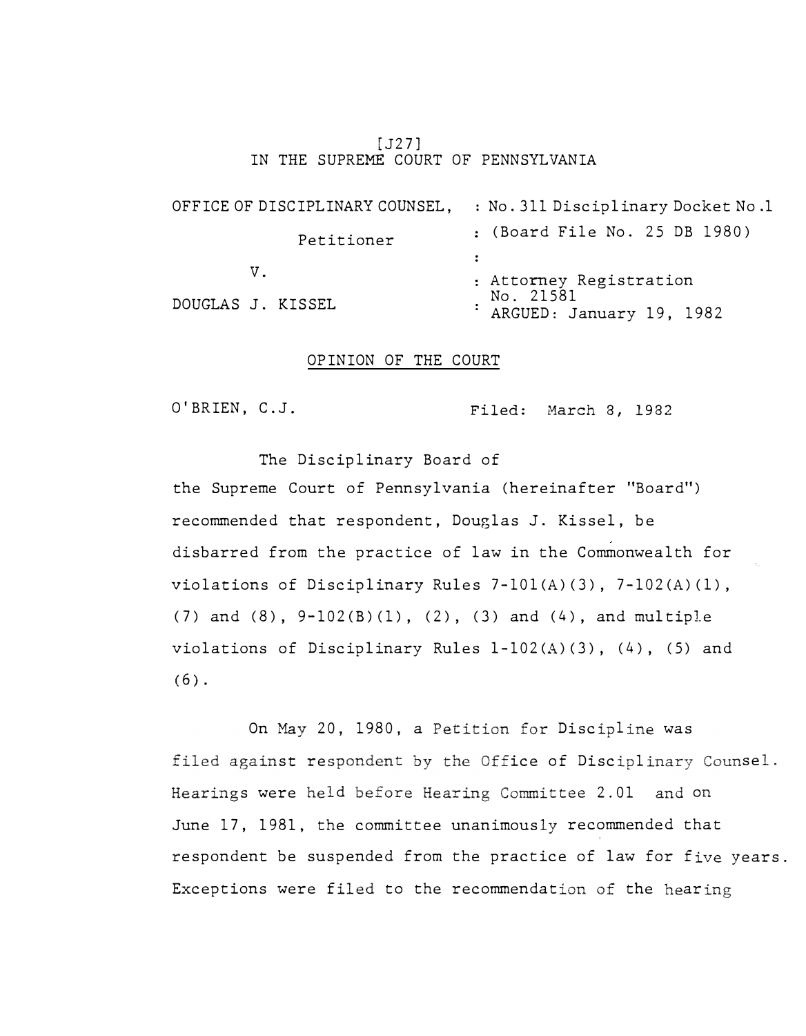### [J27] IN THE SUPREME COURT OF PENNSYLVANIA

OFFICE OF DISCIPLINARY COUNSEL, : No. 311 Disciplinary Docket No.1 Petitioner (Board File No. 25 DB 1980) v. DOUGLAS J. KISSEL Attorney Registration No. 21581 ARGUED: January 19, 1982

## OPINION OF THE COURT

O'BRIEN, C.J. Filed: March 8, 1982

The Disciplinary Board of the Supreme Court of Pennsylvania (hereinafter "Board") recommended that respondent, Douglas J. Kissel, be disbarred from the practice of law in the Commonwealth for violations of Disciplinary Rules 7-10l(A)(3), 7-102(A)(l), (7) and (8), 9-102(B) (1), (2), (3) and (4), and multiple violations of Disciplinary Rules l-102(A)(3), (4), (5) and  $(6)$ .

On May 20, 1980, a Petition for Discipline was filed against respondent by the Office of Disciplinary Counsel. s were held before Hearing Committee 2.01 and on June 17, 1981, the committee unanimously recommended that respondent be suspended from the practice of law for five years. Exceptions were filed to the recommendation of the hearing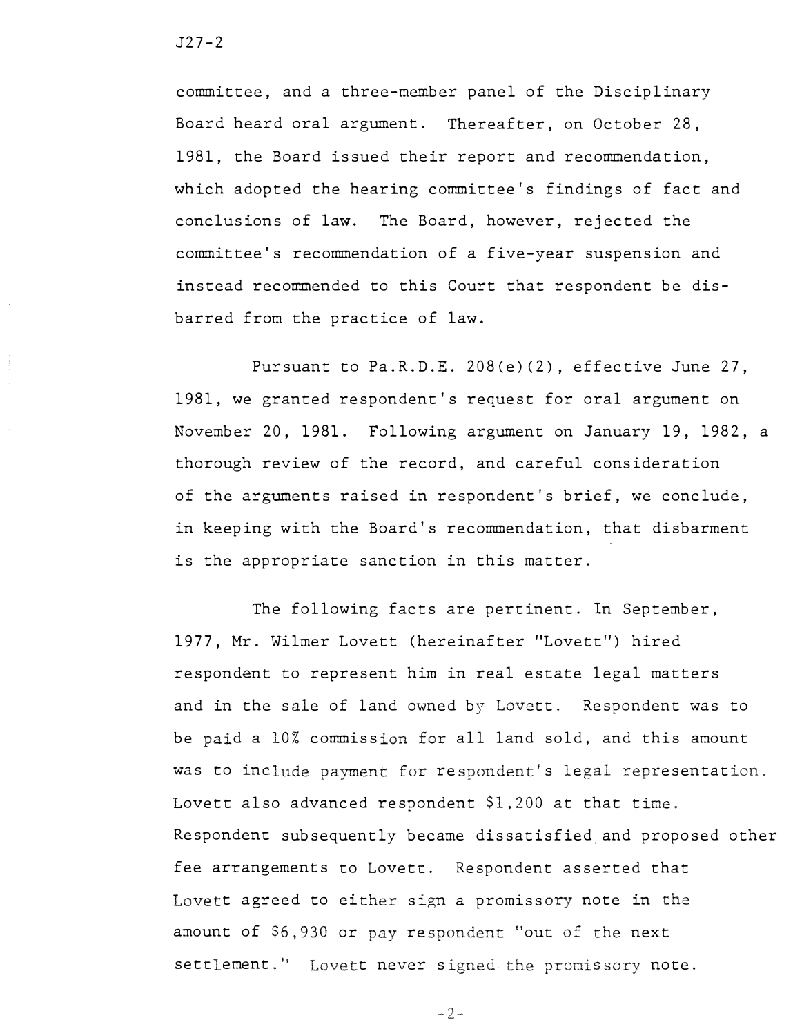J27-2

committee, and a three-member panel of the Disciplinary Board heard oral argument. Thereafter, on October 28, 1981, the Board issued their report and recommendation, which adopted the hearing committee's findings of fact and conclusions of law. The Board, however, rejected the committee's recommendation of a five-year suspension and instead recommended to this Court that respondent be disbarred from the practice of law.

Pursuant to Pa.R.D.E. 208(e)(2), effective June 27, 1981, we granted respondent's request for oral argument on November 20, 1981. Following argument on January 19, 1982, a thorough review of the record, and careful consideration of the arguments raised in respondent's brief, we conclude, in keeping with the Board's recommendation, that disbarment is the appropriate sanction in this matter.

The following facts are pertinent. In September, 1977, Mr. Wilmer Lovett (hereinafter "Lovett") hired respondent to represent him in real estate legal matters and in the sale of land owned by Lovett. Respondent was to be paid a 10% commission for all land sold, and this amount was to include payment for respondent's legal representation. Lovett also advanced respondent \$1,200 at that time. Respondent subsequently became dissatisfied and proposed other fee arrangements to Lovett. Respondent asserted that Lovett agreed to either sign a promissory note in the amount of \$6,930 or pay respondent "out of the next settlement." Lovett never signed the promissory note.

 $-2-$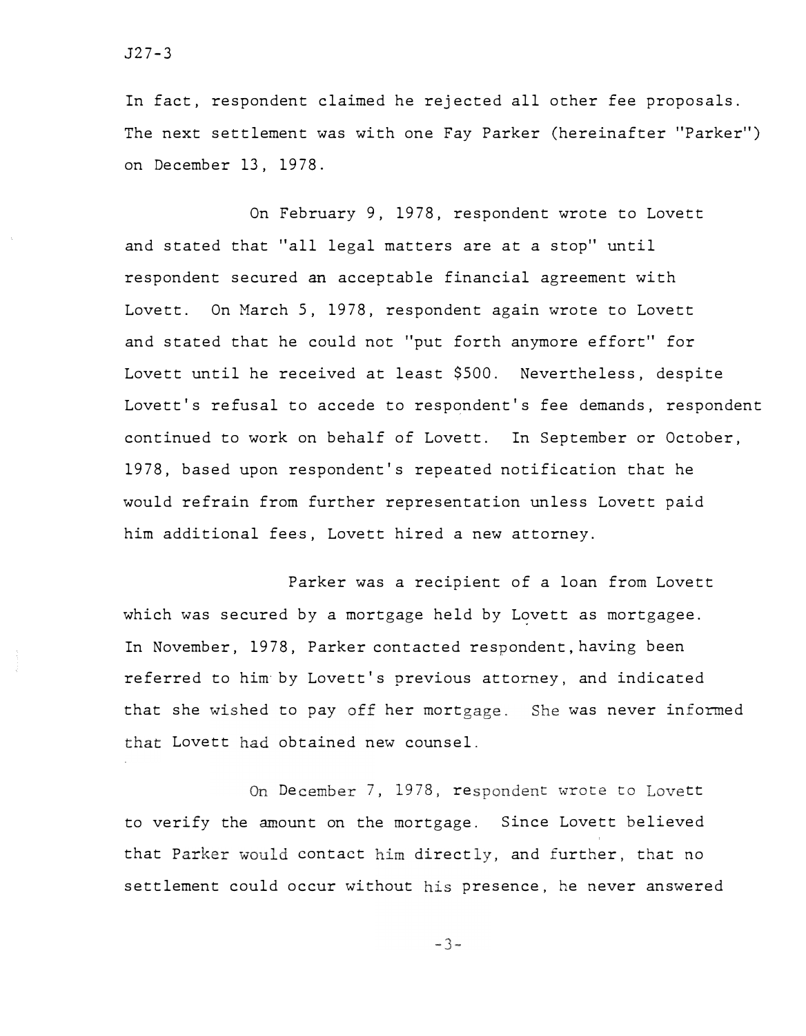J27-3

In fact, respondent claimed he rejected all other fee proposals. The next settlement was with one Fay Parker (hereinafter "Parker") on December 13, 1978.

On February 9, 1978, respondent wrote to Lovett and stated that "all legal matters are at a stop" until respondent secured an acceptable financial agreement with Lovett. On March 5, 1978, respondent again wrote to Lovett and stated that he could not "put forth anymore effort" for Lovett until he received at least \$500. Nevertheless, despite Lovett's refusal to accede to respondent's fee demands, respondent continued to work on behalf of Lovett. In September or October, 1978, based upon respondent's repeated notification that he would refrain from further representation unless Lovett paid him additional fees, Lovett hired a new attorney.

Parker was a recipient of a loan from Lovett which was secured by a mortgage held by Lovett as mortgagee. In November, 1978, Parker contacted respondent, having been referred to him· by Lovett's previous attorney, and indicated that she wished to pay off her mortgage. She was never informed that Lovett had obtained new counsel.

On December 7, 1978, respondent wrote to Lovett to verify the amount on the mortgage. Since Lovett believed that Parker would contact him directly, and further, that no settlement could occur without his presence, he never answered

 $-3-$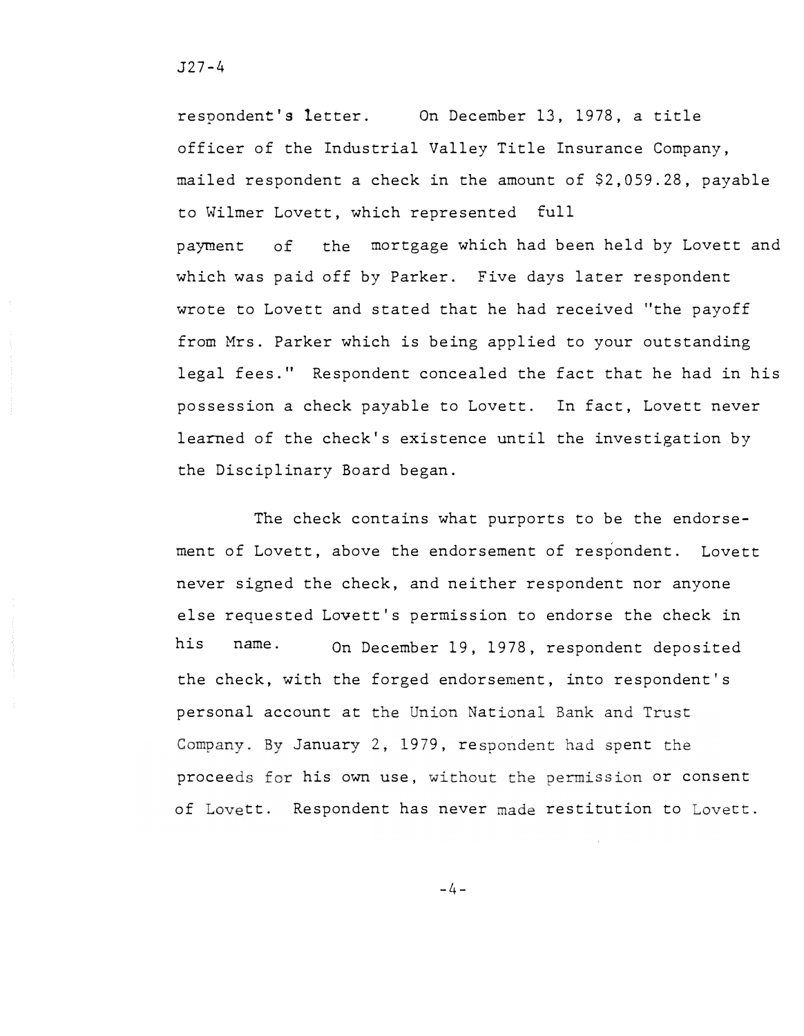respondent's letter. On December 13, 1978, a title officer of the Industrial Valley Title Insurance Company, mailed respondent a check in the amount of \$2,059.28, payable to Wilmer Lovett, which represented full payment of the mortgage which had been held by Lovett and which was paid off by Parker. Five days later respondent wrote to Lovett and stated that he had received "the payoff from Mrs. Parker which is being applied to your outstanding legal fees." Respondent concealed the fact that he had in his possession a check payable to Lovett. In fact, Lovett never learned of the check's existence until the investigation by the Disciplinary Board began.

The check contains what purports to be the endorsement of Lovett, above the endorsement of respondent. Lovett never signed the check, and neither respondent nor anyone else requested Lovett's permission to endorse the check in his name. On December 19, 1978, respondent deposited the check, with the forged endorsement, into respondent's personal account at the Union National Bank and Trust Company. By January 2, 1979, respondent had spent the proceeds for his own use, without the permission or consent of Lovett. Respondent has never made restitution to Lovett.

 $-4-$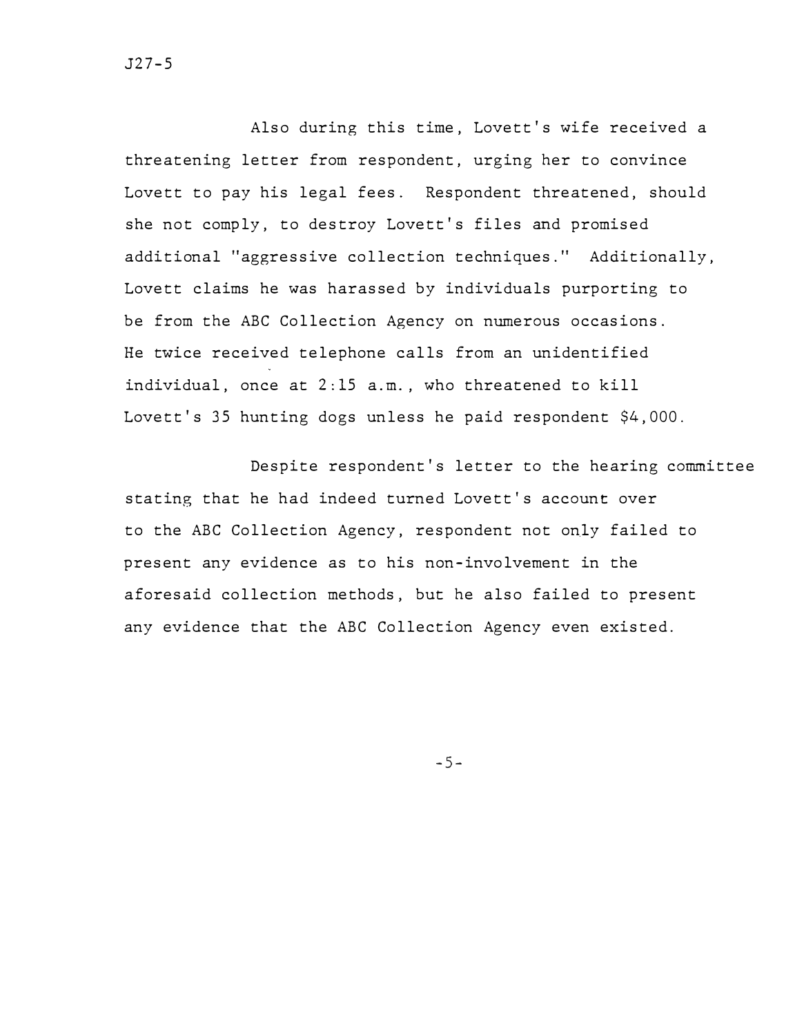J27-5

Also during this time, Lovett's wife received a threatening letter from respondent, urging her to convince Lovett to pay his legal fees. Respondent threatened, should she not comply, to destroy Lovett's files and promised additional "aggressive collection techniques." Additionally, Lovett claims he was harassed by individuals purporting to be from the ABC Collection Agency on numerous occasions. He twice received telephone calls from an unidentified individual, once at 2:15 a.m., who threatened to kill Lovett's 35 hunting dogs unless he paid respondent \$4,000.

Despite respondent's letter to the hearing committee stating that he had indeed turned Lovett's account over to the ABC Collection Agency, respondent not only failed to present any evidence as to his non-involvement in the aforesaid collection methods, but he also failed to present any evidence that the ABC Collection Agency even existed.

 $-5-$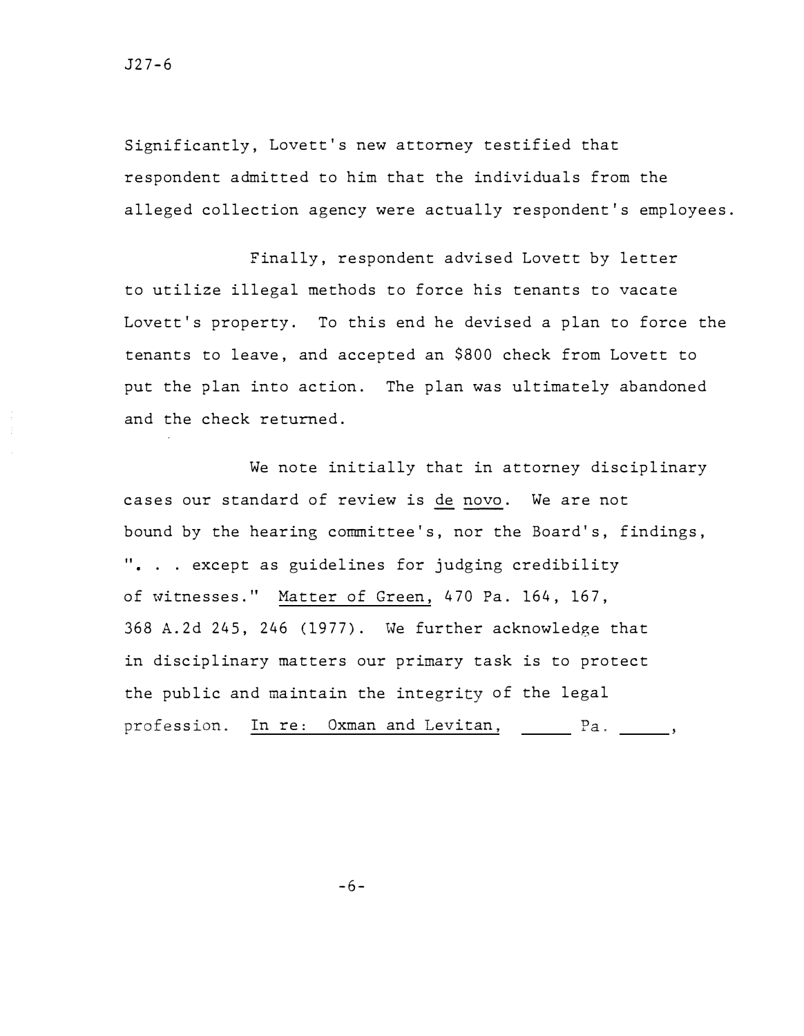Significantly, Lovett's new attorney testified that respondent admitted to him that the individuals from the alleged collection agency were actually respondent's employees.

Finally, respondent advised Lovett by letter to utilize illegal methods to force his tenants to vacate Lovett's property. To this end he devised a plan to force the tenants to leave, and accepted an \$800 check from Lovett to put the plan into action. The plan was ultimately abandoned and the check returned.

We note initially that in attorney disciplinary cases our standard of review is de novo. We are not bound by the hearing committee's, nor the Board's, findings, ". . . except as guidelines for judging credibility of witnesses." Matter of Green, 470 Pa. 164, 167, 368 A.2d 245, 246 (1977). We further acknowledge that in disciplinary matters our primary task is to protect the public and maintain the integrity of the legal profession. In re: Oxman and Levitan, \_\_\_\_\_ Pa. \_\_\_\_,

-6-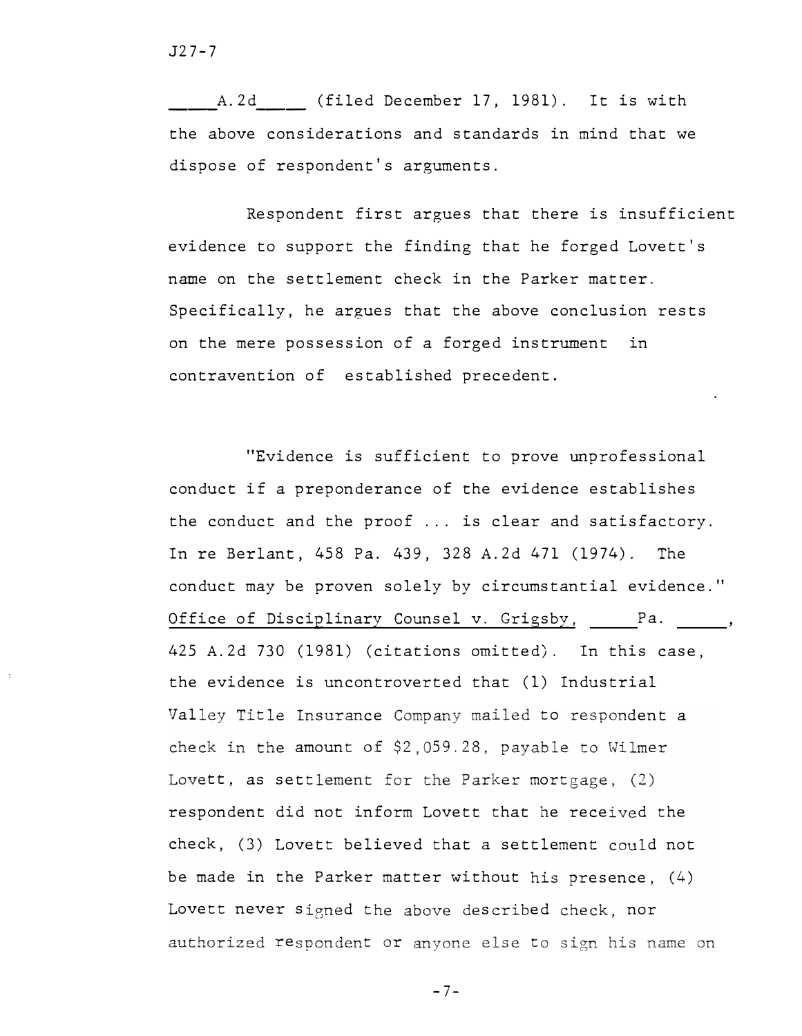A.2d (filed December 17, 1981). It is with the above considerations and standards in mind that we dispose of respondent's arguments.

Respondent first argues that there is insufficient evidence to support the finding that he forged Lovett's name on the settlement check in the Parker matter. Specifically, he argues that the above conclusion rests on the mere possession of a forged instrument in contravention of established precedent.

"Evidence is sufficient to prove unprofessional conduct if a preponderance of the evidence establishes the conduct and the proof ... is clear and satisfactory. In re Berlant, 458 Pa. 439, 328 A.2d 471 (1974). The conduct may be proven solely by circumstantial evidence." Office of Disciplinary Counsel v. Grigsby, Pa. 425 A.2d 730 (1981) (citations omitted). In this case, the evidence is uncontroverted that (1) Industrial Valley Title Insurance Company mailed to respondent a check in the amount of  $$2,059.28$ , payable to Wilmer Lovett, as settlement for the Parker mortgage,  $(2)$ respondent did not inform Lovett that he received the check, (3) Lovett believed that a settlement could not be made in the Parker matter without his presence,  $(4)$ Lovett never signed the above described check, nor  ${\tt respondent}$  or anyone else t $\mathfrak t$ 

 $-7-$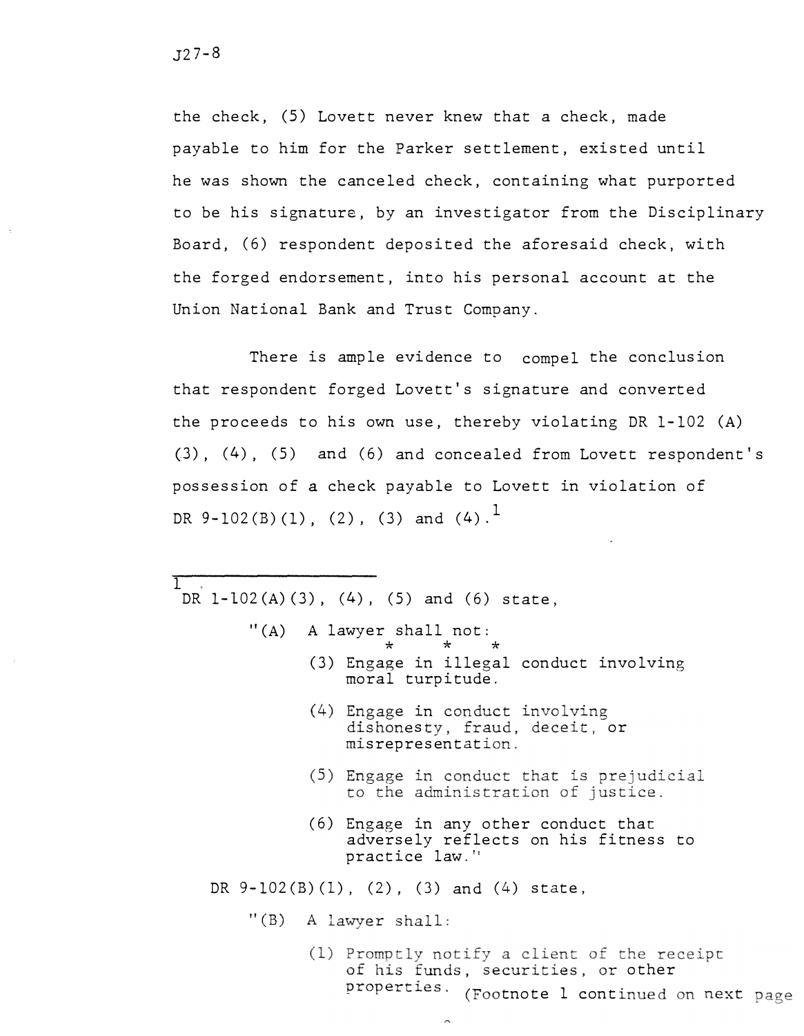$\top$ 

the check, (5) Lovett never knew that a check, made payable to him for the Parker settlement, existed until he was shown the canceled check, containing what purported to be his signature, by an investigator from the Disciplinary Board, (6) respondent deposited the aforesaid check, with the forged endorsement, into his personal account at the Union National Bank and Trust Company.

There is ample evidence to compel the conclusion that respondent forged Lovett's signature and converted the proceeds to his own use, thereby violating DR 1-102 (A) (3), (4), (5) and (6) and concealed from Lovett respondent's possession of *a* check payable to Lovett in violation of DR  $9-102(B)(1)$ ,  $(2)$ ,  $(3)$  and  $(4)$ .

DR 1-102(A)(3), (4), (5) and (6) state,

- $^{\prime\prime}$ (A) A lawyer shall not:<br>  $\star$   $\star$   $\star$ 
	- (3) Engage in illegal conduct involving moral turpitude.
		- (4) Engage in sty, fraud, deceit, or misrepresentation.
	- (5) Engage in conduct that is prejudicial to the administration of justice.
	- (6) Engage in any other conduct that adversely reflects on his fitness to practice law.'

DR  $9-102(B)(1)$ ,  $(2)$ ,  $(3)$  and  $(4)$  state,

 $\sim$ 

 $"$ (B) A lawyer shall:

(1) Promptly notify a client of the receipt of his funds, securities, or other properties. (Footnote 1 continued on next page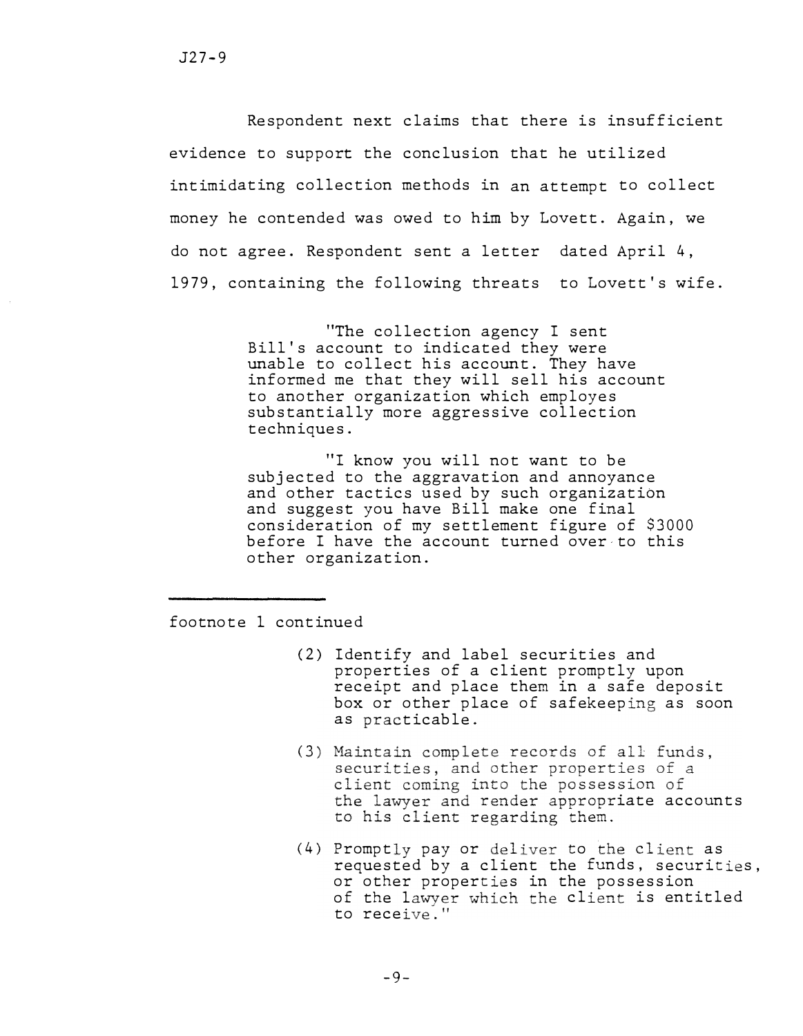Respondent next claims that there is insufficient evidence to support the conclusion that he utilized intimidating collection methods in an attempt to collect money he contended was owed to him by Lovett. Again, we do not agree. Respondent sent a letter dated April 4, 1979, containing the following threats to Lovett's wife.

> "The collection agency I sent Bill's account to indicated they were unable to collect his account. They have informed me that they will sell his account to another organization which employes substantially more aggressive collection techniques.

"I know you will not want to be subjected to the aggravation and annoyance and other tactics used by such organization and suggest you have Bill make one final consideration of my settlement figure of \$3000 before I have the account turned over to this other organization.

footnote 1 continued

- (2) Identify and label securities and properties of a client promptly upon receipt and place them in a safe deposit box or other place of safekeeping as soon as practicable.
- (3) Maintain complete records of all funds, securities, and other properties of a client coming into the possession of the lawyer and render appropriate accounts<br>to his client regarding them.
- (4) Promptly pay or deliver to the client as requested by a client the funds, securities, or other properties in the possession of the lawyer which the client is entitled to receive."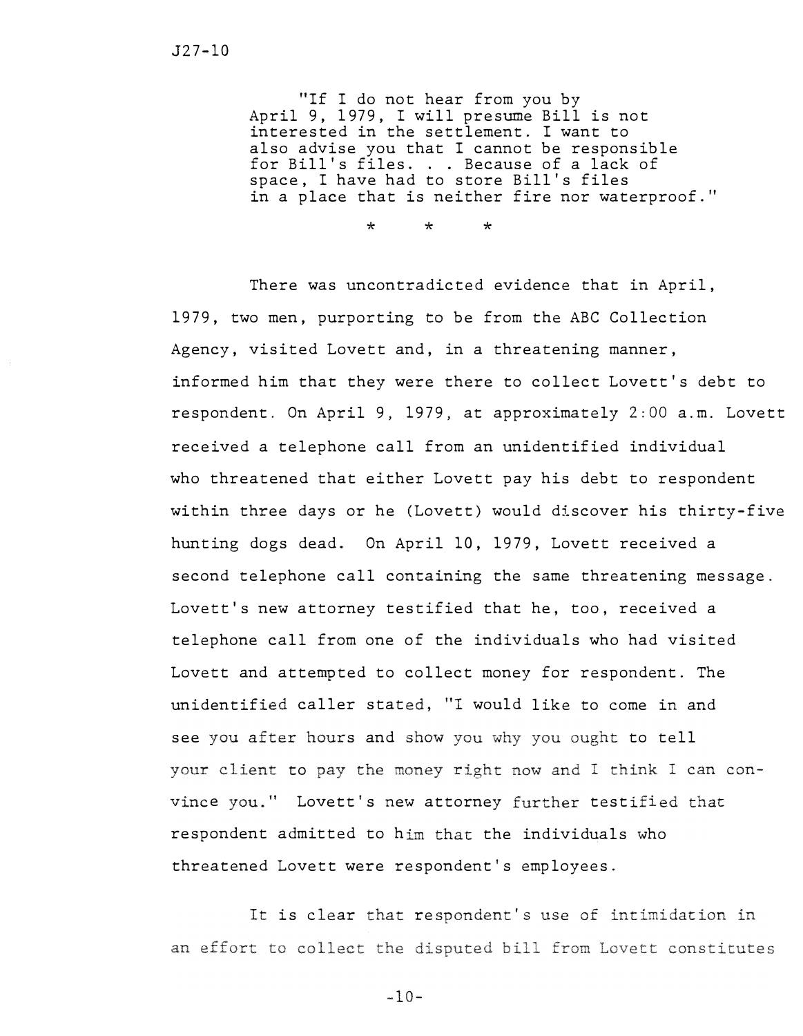"If I do not hear from you by April 9, 1979, I will presume Bill is not interested in the settlement. I want to also advise you that I cannot be responsible for Bill's files. . . Because of a lack of space, I have had to store Bill's files in a place that is neither fire nor waterproof."

\* \* \*

There was uncontradicted evidence that in April, 1979, two men, purporting *to* be from the ABC Collection Agency, visited Lovett and, in a threatening manner, informed him that they were there to collect Lovett's debt to respondent. On April 9, 1979, at approximately 2:00 a.m. Lovett received a telephone call from an unidentified individual who threatened that either Lovett pay his debt to respondent within three days or he (Lovett) would discover his thirty-five hunting dogs dead. On April 10, 1979, Lovett received a second telephone call containing the same threatening message. Lovett's new attorney testified that he, too, received a telephone call from one of the individuals who had visited Lovett and attempted to collect money for respondent. The unidentified caller stated, "I would like to come in and see you after hours and show you why you ought to tell your client to pay the money right now and I think I can convince you." Lovett's new attorney further testified that respondent admitted to him that the individuals who threatened Lovett were respondent's employees.

It is clear that respondent's use of intimidation in an effort to collect the disputed bill from Lovett constitutes

 $-10-$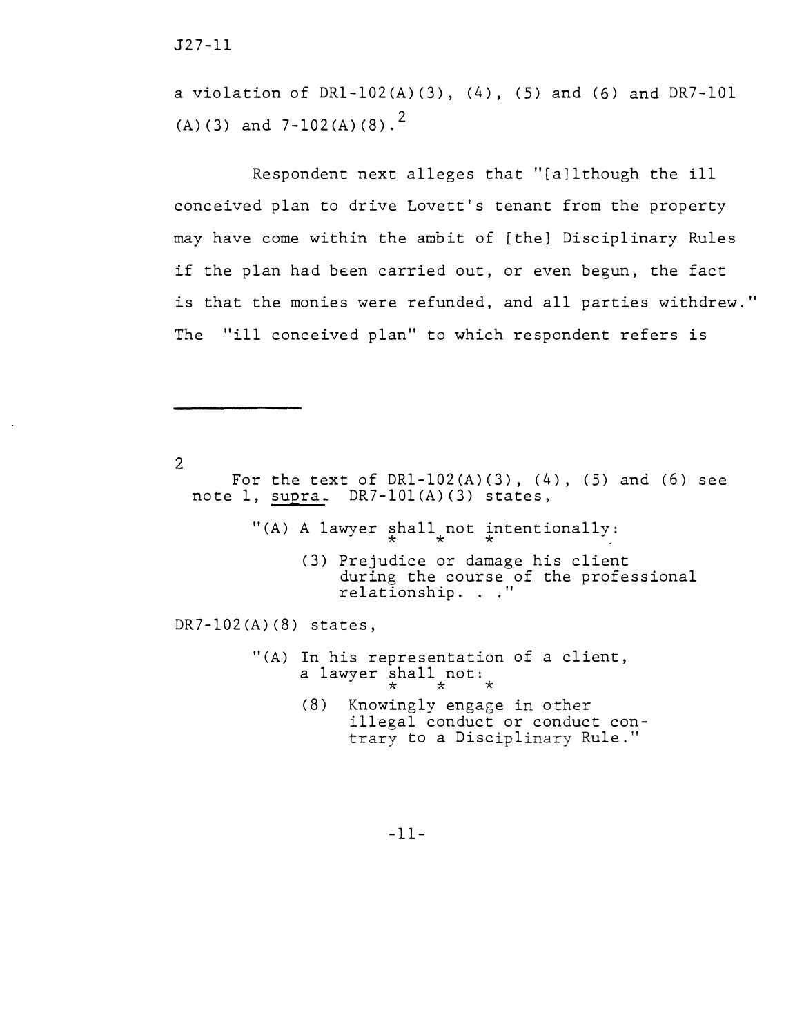J27-ll

a violation of DR1-102(A)(3), (4), (5) and (6) and DR7-101 (A)(3) and  $7-102(A)(8)$ .

Respondent next alleges that "[a]lthough the ill conceived plan to drive Lovett's tenant from the property may have come within the ambit of (the] Disciplinary Rules if the plan had been carried out, or even begun, the fact is that the monies were refunded, and all parties withdrew." The "ill conceived plan" to which respondent refers is

 $\overline{2}$ 

For the text of  $DRI-102(A)(3)$ ,  $(4)$ ,  $(5)$  and  $(6)$  see note 1, supra. DR7-101(A)(3) states,

"(A) A lawyer shall not intentionally:

(3) Prejudice or damage his client during the course of the professional relationship. . ."

DR7-102(A)(8) states,

- "(A) In his representation of a client, a lawyer  $\frac{1}{x}$  and  $\frac{1}{x}$  and  $\frac{1}{x}$ 
	- $(8)$  Knowingly engage in other illegal conduct or conduct contrary to a Disciplinary Rule."

-11-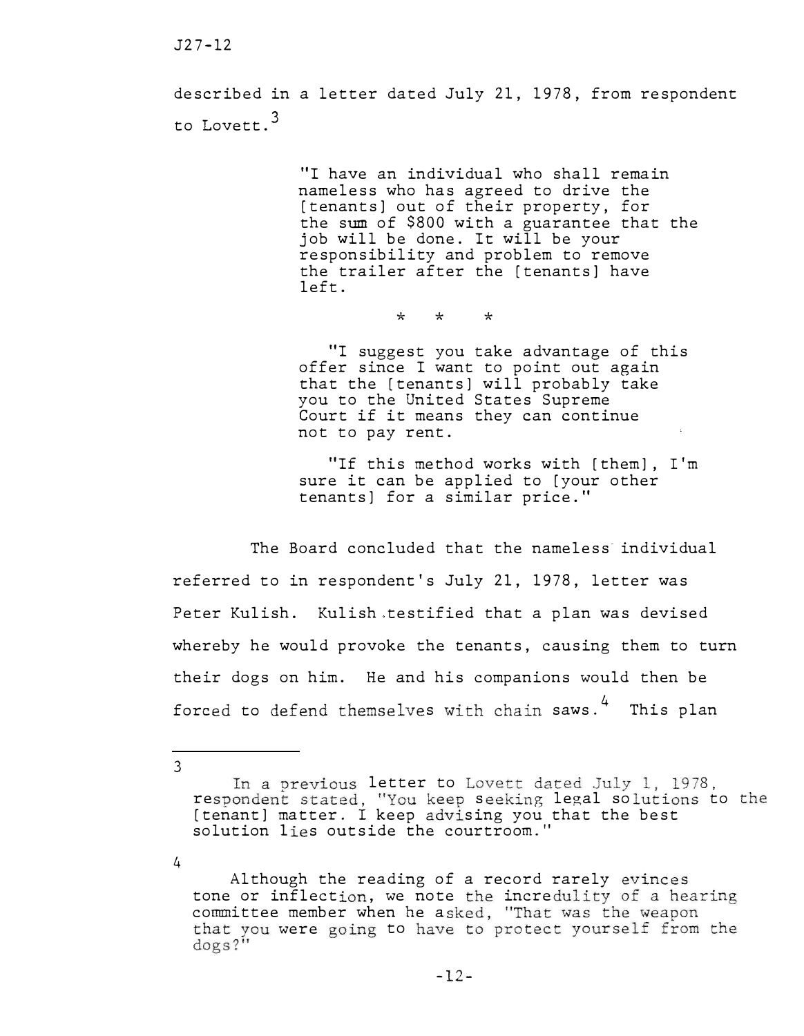described in a letter dated July 21, 1978, from respondent to Lovett.3

> "I have an individual who shall remain nameless who has agreed to drive the [tenants] out of their property, for the sum of \$800 with a guarantee that the job will be done. It will be your responsibility and problem to remove the trailer after the [tenants] have left.

> > \* \* \*

"I suggest you take advantage of this offer since I want to point out again that the [tenants] will probably take you to the United States Supreme Court if it means they can continue not to pay rent.

"If this method works with [them], I'm sure it can be applied to [your other tenants] for a similar price."

The Board concluded that the nameless individual referred to in respondent's July 21, 1978, letter was Peter Kulish. Kulish testified that a plan was devised whereby he would provoke the tenants, causing them to turn their dogs on him. He and his companions would then be forced to defend themselves with chain saws.<sup>4</sup> This plan

3

4

In a previous letter to Lovett dated July 1, 1978. respondent stated, "You keep seeking legal solutions to the [tenant] matter. I keep advising you that the best solution lies outside the courtroom."

Although the reading of a record rarely evinces tone or inflection, we note the incredulity of a hearing committee member when he asked, "That was the weapon that you were going to have to protect yourself from the  $\deg s$ ?"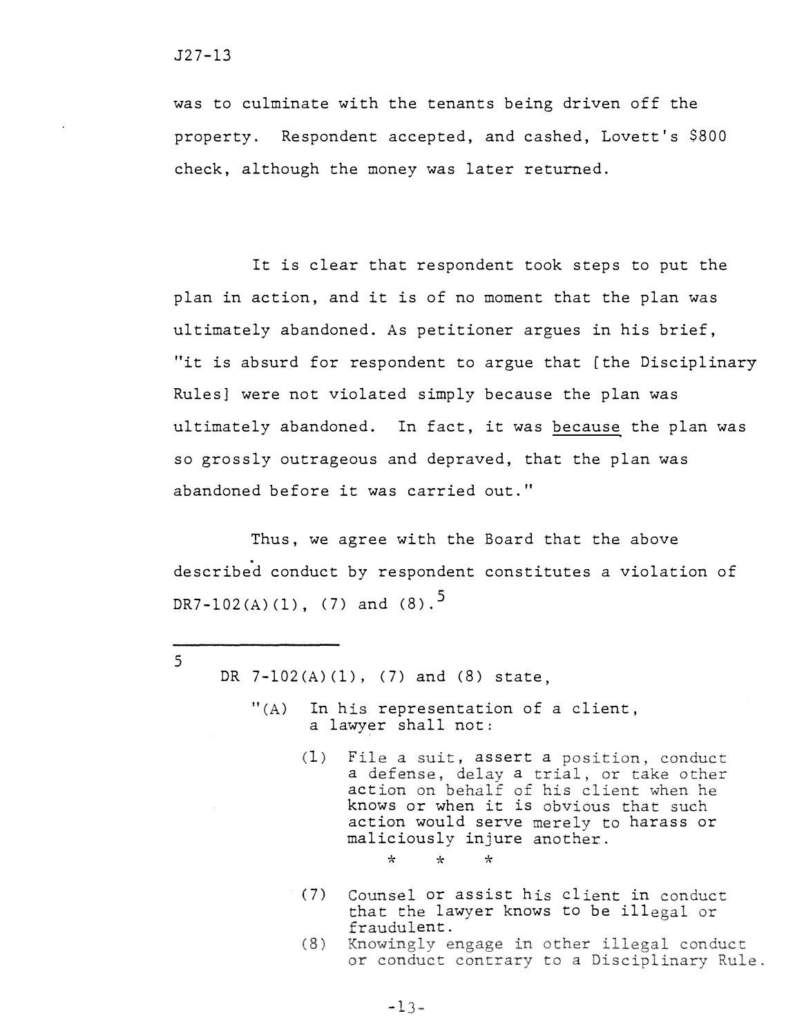$5<sup>1</sup>$ 

was to culminate with the tenants being driven off the property. Respondent accepted, and cashed, Lovett's \$800 check, although the money was later returned.

It is clear that respondent took steps to put the plan in action, and it is of no moment that the plan was ultimately abandoned. As petitioner argues in his brief, "it is absurd for respondent to argue that [the Disciplinary Rules] were not violated simply because the plan was ultimately abandoned. In fact, it was because the plan was so grossly outrageous and depraved, that the plan was abandoned before it was carried out."

Thus, we agree with the Board that the above described conduct by respondent constitutes a violation of DR7-102(A)(1), (7) and (8).<sup>5</sup>

DR 7-102(A) (1), (7) and (8) state,

- $''(A)$  In his representation of a client, a lawyer shall not:
	- (1) File a suit, assert a position, conduct a defense, delay a trial, or take other action on behalf of his client when he knows or when it is obvious that such action would serve merely to harass or maliciously injure another.

\* \* \*

- (7) Counsel or assist his client in conduct that the lawyer knows to be illegal or fraudulent.<br>Knowingly engage in other illegal conduct
- $(8)$ or conduct contrary to a Disciplinary Rule.